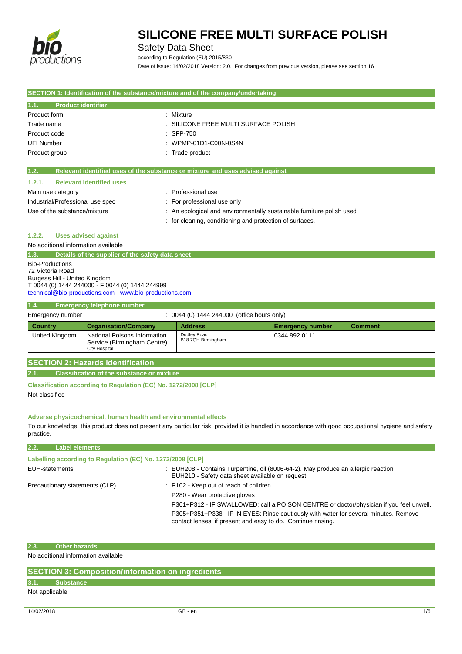

Safety Data Sheet

according to Regulation (EU) 2015/830

Date of issue: 14/02/2018 Version: 2.0. For changes from previous version, please see section 16

| SECTION 1: Identification of the substance/mixture and of the company/undertaking |                                                         |                                                                               |                         |                |
|-----------------------------------------------------------------------------------|---------------------------------------------------------|-------------------------------------------------------------------------------|-------------------------|----------------|
| <b>Product identifier</b><br>1.1.                                                 |                                                         |                                                                               |                         |                |
| Product form                                                                      |                                                         | : Mixture                                                                     |                         |                |
| Trade name                                                                        |                                                         | SILICONE FREE MULTI SURFACE POLISH                                            |                         |                |
| Product code                                                                      |                                                         | SFP-750                                                                       |                         |                |
| <b>UFI Number</b>                                                                 |                                                         | WPMP-01D1-C00N-0S4N                                                           |                         |                |
| Product group                                                                     |                                                         | : Trade product                                                               |                         |                |
| 1.2.                                                                              |                                                         | Relevant identified uses of the substance or mixture and uses advised against |                         |                |
| 1.2.1.                                                                            | <b>Relevant identified uses</b>                         |                                                                               |                         |                |
| Main use category                                                                 |                                                         | : Professional use                                                            |                         |                |
| Industrial/Professional use spec                                                  |                                                         | : For professional use only                                                   |                         |                |
| Use of the substance/mixture                                                      |                                                         | : An ecological and environmentally sustainable furniture polish used         |                         |                |
|                                                                                   |                                                         | : for cleaning, conditioning and protection of surfaces.                      |                         |                |
| 1.2.2.                                                                            | <b>Uses advised against</b>                             |                                                                               |                         |                |
| No additional information available                                               |                                                         |                                                                               |                         |                |
| 1.3.                                                                              | Details of the supplier of the safety data sheet        |                                                                               |                         |                |
| <b>Bio-Productions</b>                                                            |                                                         |                                                                               |                         |                |
| 72 Victoria Road                                                                  |                                                         |                                                                               |                         |                |
| Burgess Hill - United Kingdom                                                     | T 0044 (0) 1444 244000 - F 0044 (0) 1444 244999         |                                                                               |                         |                |
|                                                                                   | technical@bio-productions.com - www.bio-productions.com |                                                                               |                         |                |
| 1.4.<br><b>Emergency telephone number</b>                                         |                                                         |                                                                               |                         |                |
| : 0044 (0) 1444 244000 (office hours only)<br>Emergency number                    |                                                         |                                                                               |                         |                |
| <b>Country</b>                                                                    | <b>Organisation/Company</b>                             | <b>Address</b>                                                                | <b>Emergency number</b> | <b>Comment</b> |
| United Kingdom                                                                    | National Poisons Information                            | Dudley Road                                                                   | 0344 892 0111           |                |
|                                                                                   | Service (Birmingham Centre)<br><b>City Hospital</b>     | B18 7QH Birmingham                                                            |                         |                |
|                                                                                   |                                                         |                                                                               |                         |                |
| <b>SECTION 2: Hazards identification</b>                                          |                                                         |                                                                               |                         |                |
| <b>Classification of the substance or mixture</b><br>2.1.                         |                                                         |                                                                               |                         |                |
| Classification according to Regulation (EC) No. 1272/2008 [CLP]                   |                                                         |                                                                               |                         |                |

Not classified

### **Adverse physicochemical, human health and environmental effects**

To our knowledge, this product does not present any particular risk, provided it is handled in accordance with good occupational hygiene and safety practice.

| 2.2.<br><b>Label elements</b>                              |                                                                                                                                                      |
|------------------------------------------------------------|------------------------------------------------------------------------------------------------------------------------------------------------------|
| Labelling according to Regulation (EC) No. 1272/2008 [CLP] |                                                                                                                                                      |
| EUH-statements                                             | : EUH208 - Contains Turpentine, oil (8006-64-2). May produce an allergic reaction<br>EUH210 - Safety data sheet available on request                 |
| Precautionary statements (CLP)                             | : P102 - Keep out of reach of children.                                                                                                              |
|                                                            | P280 - Wear protective gloves                                                                                                                        |
|                                                            | P301+P312 - IF SWALLOWED: call a POISON CENTRE or doctor/physician if you feel unwell.                                                               |
|                                                            | P305+P351+P338 - IF IN EYES: Rinse cautiously with water for several minutes. Remove<br>contact lenses, if present and easy to do. Continue rinsing. |

# **2.3. Other hazards**

No additional information available

|      | <b>SECTION 3: Composition/information on ingredients</b> |
|------|----------------------------------------------------------|
| 3.1. | Substance                                                |

## Not applicable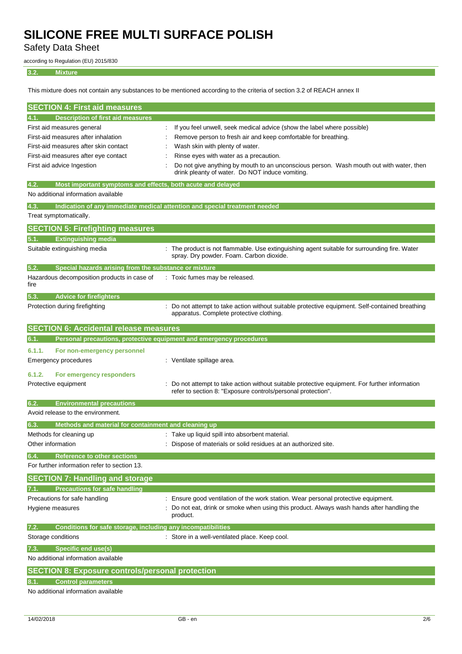Safety Data Sheet

according to Regulation (EU) 2015/830

### **3.2. Mixture**

This mixture does not contain any substances to be mentioned according to the criteria of section 3.2 of REACH annex II

| <b>SECTION 4: First aid measures</b>                                               |                                                                                                                                                              |  |  |
|------------------------------------------------------------------------------------|--------------------------------------------------------------------------------------------------------------------------------------------------------------|--|--|
| <b>Description of first aid measures</b><br>4.1.                                   |                                                                                                                                                              |  |  |
| First aid measures general                                                         | If you feel unwell, seek medical advice (show the label where possible)                                                                                      |  |  |
| First-aid measures after inhalation                                                | Remove person to fresh air and keep comfortable for breathing.                                                                                               |  |  |
| First-aid measures after skin contact                                              | Wash skin with plenty of water.                                                                                                                              |  |  |
| First-aid measures after eye contact                                               | Rinse eyes with water as a precaution.                                                                                                                       |  |  |
| First aid advice Ingestion                                                         | Do not give anything by mouth to an unconscious person. Wash mouth out with water, then<br>drink pleanty of water. Do NOT induce vomiting.                   |  |  |
| Most important symptoms and effects, both acute and delayed<br>4.2.                |                                                                                                                                                              |  |  |
| No additional information available                                                |                                                                                                                                                              |  |  |
| 4.3.<br>Indication of any immediate medical attention and special treatment needed |                                                                                                                                                              |  |  |
| Treat symptomatically.                                                             |                                                                                                                                                              |  |  |
| <b>SECTION 5: Firefighting measures</b>                                            |                                                                                                                                                              |  |  |
| <b>Extinguishing media</b><br>5.1.                                                 |                                                                                                                                                              |  |  |
| Suitable extinguishing media                                                       | : The product is not flammable. Use extinguishing agent suitable for surrounding fire. Water<br>spray. Dry powder. Foam. Carbon dioxide.                     |  |  |
| 5.2.<br>Special hazards arising from the substance or mixture                      |                                                                                                                                                              |  |  |
| Hazardous decomposition products in case of<br>fire                                | : Toxic fumes may be released.                                                                                                                               |  |  |
| 5.3.<br><b>Advice for firefighters</b>                                             |                                                                                                                                                              |  |  |
| Protection during firefighting                                                     | Do not attempt to take action without suitable protective equipment. Self-contained breathing<br>apparatus. Complete protective clothing.                    |  |  |
| <b>SECTION 6: Accidental release measures</b>                                      |                                                                                                                                                              |  |  |
| 6.1.<br>Personal precautions, protective equipment and emergency procedures        |                                                                                                                                                              |  |  |
| 6.1.1.<br>For non-emergency personnel<br>Emergency procedures                      | : Ventilate spillage area.                                                                                                                                   |  |  |
| 6.1.2.<br>For emergency responders<br>Protective equipment                         | Do not attempt to take action without suitable protective equipment. For further information<br>refer to section 8: "Exposure controls/personal protection". |  |  |
| <b>Environmental precautions</b><br>6.2.                                           |                                                                                                                                                              |  |  |
| Avoid release to the environment.                                                  |                                                                                                                                                              |  |  |
| 6.3.<br>Methods and material for containment and cleaning up                       |                                                                                                                                                              |  |  |
| Methods for cleaning up                                                            | : Take up liquid spill into absorbent material.                                                                                                              |  |  |
| Other information                                                                  | Dispose of materials or solid residues at an authorized site.                                                                                                |  |  |
| 6.4.<br><b>Reference to other sections</b>                                         |                                                                                                                                                              |  |  |
| For further information refer to section 13.                                       |                                                                                                                                                              |  |  |
| <b>SECTION 7: Handling and storage</b>                                             |                                                                                                                                                              |  |  |
| <b>Precautions for safe handling</b><br>7.1.                                       |                                                                                                                                                              |  |  |
| Precautions for safe handling                                                      | : Ensure good ventilation of the work station. Wear personal protective equipment.                                                                           |  |  |
| Hygiene measures                                                                   | Do not eat, drink or smoke when using this product. Always wash hands after handling the<br>product.                                                         |  |  |
| 7.2.<br>Conditions for safe storage, including any incompatibilities               |                                                                                                                                                              |  |  |
| Storage conditions                                                                 | : Store in a well-ventilated place. Keep cool.                                                                                                               |  |  |
| <b>Specific end use(s)</b><br>7.3.                                                 |                                                                                                                                                              |  |  |
| No additional information available                                                |                                                                                                                                                              |  |  |
| <b>SECTION 8: Exposure controls/personal protection</b>                            |                                                                                                                                                              |  |  |
| 8.1.<br><b>Control parameters</b>                                                  |                                                                                                                                                              |  |  |
| No additional information available                                                |                                                                                                                                                              |  |  |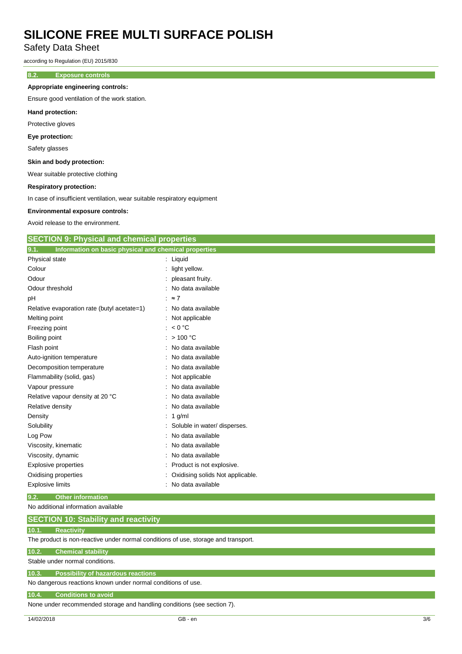Safety Data Sheet

according to Regulation (EU) 2015/830

### **8.2. Exposure controls**

### **Appropriate engineering controls:**

Ensure good ventilation of the work station.

### **Hand protection:**

Protective gloves

### **Eye protection:**

Safety glasses

### **Skin and body protection:**

Wear suitable protective clothing

### **Respiratory protection:**

In case of insufficient ventilation, wear suitable respiratory equipment

### **Environmental exposure controls:**

Avoid release to the environment.

|  | <b>SECTION 9: Physical and chemical properties</b> |  |
|--|----------------------------------------------------|--|
|--|----------------------------------------------------|--|

| 9.1.<br>Information on basic physical and chemical properties |                                  |
|---------------------------------------------------------------|----------------------------------|
| Physical state                                                | : Liquid                         |
| Colour                                                        | light yellow.                    |
| Odour                                                         | pleasant fruity.                 |
| Odour threshold                                               | No data available                |
| рH                                                            | $\approx 7$                      |
| Relative evaporation rate (butyl acetate=1)                   | : No data available              |
| Melting point                                                 | : Not applicable                 |
| Freezing point                                                | : $< 0$ °C                       |
| Boiling point                                                 | : $> 100 °C$                     |
| Flash point                                                   | No data available                |
| Auto-ignition temperature                                     | No data available                |
| Decomposition temperature                                     | No data available                |
| Flammability (solid, gas)                                     | Not applicable                   |
| Vapour pressure                                               | No data available                |
| Relative vapour density at 20 °C                              | No data available                |
| Relative density                                              | No data available                |
| Density                                                       | 1 g/ml                           |
| Solubility                                                    | Soluble in water/ disperses.     |
| Log Pow                                                       | No data available                |
| Viscosity, kinematic                                          | No data available                |
| Viscosity, dynamic                                            | No data available                |
| <b>Explosive properties</b>                                   | Product is not explosive.        |
| Oxidising properties                                          | Oxidising solids Not applicable. |
| <b>Explosive limits</b>                                       | No data available                |

### **9.2. Other information**

No additional information available

| <b>SECTION 10: Stability and reactivity</b> |
|---------------------------------------------|
|---------------------------------------------|

### **10.1. Reactivity**

The product is non-reactive under normal conditions of use, storage and transport.

### **10.2. Chemical stability**

Stable under normal conditions.

# **10.3. Possibility of hazardous reactions**

No dangerous reactions known under normal conditions of use.

### **10.4. Conditions to avoid**

None under recommended storage and handling conditions (see section 7).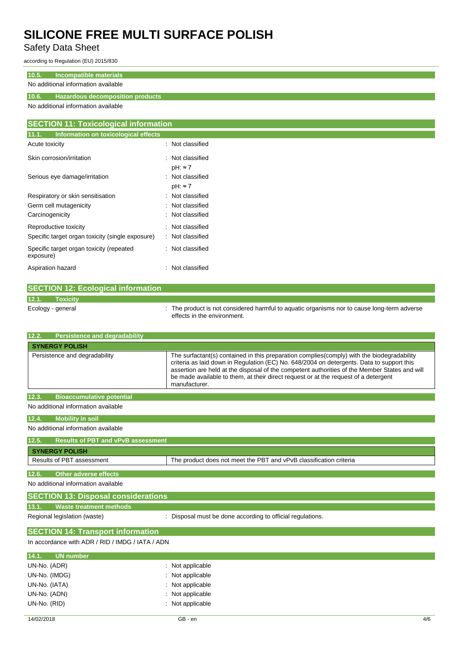# Safety Data Sheet

according to Regulation (EU) 2015/830

## **10.5. Incompatible materials**

## No additional information available

## **10.6. Hazardous decomposition products**

No additional information available

| <b>SECTION 11: Toxicological information</b>          |                                     |  |
|-------------------------------------------------------|-------------------------------------|--|
| 11.1.<br>Information on toxicological effects         |                                     |  |
| Acute toxicity                                        | : Not classified                    |  |
| Skin corrosion/irritation                             | : Not classified<br>$pH: \approx 7$ |  |
| Serious eye damage/irritation                         | : Not classified<br>$pH: \approx 7$ |  |
| Respiratory or skin sensitisation                     | : Not classified                    |  |
| Germ cell mutagenicity                                | : Not classified                    |  |
| Carcinogenicity                                       | : Not classified                    |  |
| Reproductive toxicity                                 | Not classified<br>÷                 |  |
| Specific target organ toxicity (single exposure)      | : Not classified                    |  |
| Specific target organ toxicity (repeated<br>exposure) | : Not classified                    |  |
| Aspiration hazard                                     | Not classified<br>÷                 |  |

|                   | <b>SECTION 12: Ecological information</b> |                                                                                                                            |
|-------------------|-------------------------------------------|----------------------------------------------------------------------------------------------------------------------------|
| 12.1.             | Toxicity                                  |                                                                                                                            |
| Ecology - general |                                           | : The product is not considered harmful to aquatic organisms nor to cause long-term adverse<br>effects in the environment. |

| 12.2.<br><b>Persistence and degradability</b>      |                                                                                                                                                                                                                                                                                                                                                                                                   |
|----------------------------------------------------|---------------------------------------------------------------------------------------------------------------------------------------------------------------------------------------------------------------------------------------------------------------------------------------------------------------------------------------------------------------------------------------------------|
| <b>SYNERGY POLISH</b>                              |                                                                                                                                                                                                                                                                                                                                                                                                   |
| Persistence and degradability                      | The surfactant(s) contained in this preparation complies (comply) with the biodegradability<br>criteria as laid down in Regulation (EC) No. 648/2004 on detergents. Data to support this<br>assertion are held at the disposal of the competent authorities of the Member States and will<br>be made available to them, at their direct request or at the request of a detergent<br>manufacturer. |
| 12.3.<br><b>Bioaccumulative potential</b>          |                                                                                                                                                                                                                                                                                                                                                                                                   |
| No additional information available                |                                                                                                                                                                                                                                                                                                                                                                                                   |
| <b>Mobility in soil</b><br>12.4.                   |                                                                                                                                                                                                                                                                                                                                                                                                   |
| No additional information available                |                                                                                                                                                                                                                                                                                                                                                                                                   |
| 12.5.<br><b>Results of PBT and vPvB assessment</b> |                                                                                                                                                                                                                                                                                                                                                                                                   |
| <b>SYNERGY POLISH</b>                              |                                                                                                                                                                                                                                                                                                                                                                                                   |
| Results of PBT assessment                          | The product does not meet the PBT and vPvB classification criteria                                                                                                                                                                                                                                                                                                                                |
| 12.6.<br><b>Other adverse effects</b>              |                                                                                                                                                                                                                                                                                                                                                                                                   |
| No additional information available                |                                                                                                                                                                                                                                                                                                                                                                                                   |
| <b>SECTION 13: Disposal considerations</b>         |                                                                                                                                                                                                                                                                                                                                                                                                   |
| <b>Waste treatment methods</b><br>13.1.            |                                                                                                                                                                                                                                                                                                                                                                                                   |
| Regional legislation (waste)                       | : Disposal must be done according to official regulations.                                                                                                                                                                                                                                                                                                                                        |
| <b>SECTION 14: Transport information</b>           |                                                                                                                                                                                                                                                                                                                                                                                                   |
| In accordance with ADR / RID / IMDG / IATA / ADN   |                                                                                                                                                                                                                                                                                                                                                                                                   |
| 14.1.<br><b>UN</b> number                          |                                                                                                                                                                                                                                                                                                                                                                                                   |
| UN-No. (ADR)                                       | Not applicable                                                                                                                                                                                                                                                                                                                                                                                    |
| UN-No. (IMDG)                                      | Not applicable                                                                                                                                                                                                                                                                                                                                                                                    |
| UN-No. (IATA)                                      | Not applicable                                                                                                                                                                                                                                                                                                                                                                                    |
| UN-No. (ADN)                                       | Not applicable                                                                                                                                                                                                                                                                                                                                                                                    |
| UN-No. (RID)                                       | Not applicable                                                                                                                                                                                                                                                                                                                                                                                    |
| 14/02/2018                                         | GB - en<br>4/6                                                                                                                                                                                                                                                                                                                                                                                    |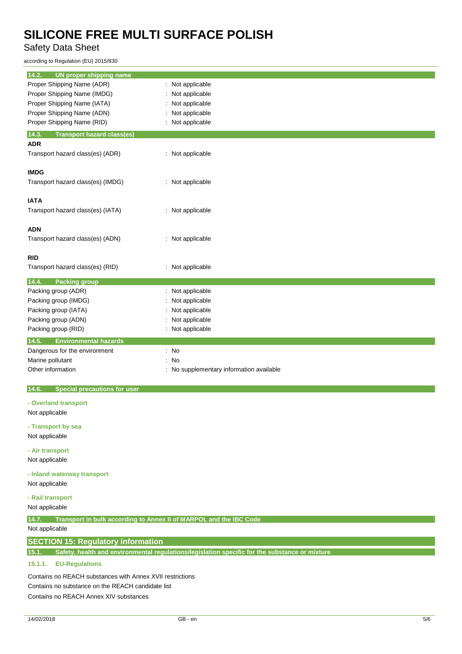# Safety Data Sheet

according to Regulation (EU) 2015/830

| 14.2.<br><b>UN proper shipping name</b>      |                                        |
|----------------------------------------------|----------------------------------------|
| Proper Shipping Name (ADR)                   | Not applicable                         |
| Proper Shipping Name (IMDG)                  | Not applicable                         |
| Proper Shipping Name (IATA)                  | Not applicable                         |
| Proper Shipping Name (ADN)                   | Not applicable<br>t                    |
| Proper Shipping Name (RID)                   | Not applicable<br>t.                   |
| <b>Transport hazard class(es)</b><br>14.3.   |                                        |
| <b>ADR</b>                                   |                                        |
| Transport hazard class(es) (ADR)             | : Not applicable                       |
| <b>IMDG</b>                                  |                                        |
| Transport hazard class(es) (IMDG)            | : Not applicable                       |
| <b>IATA</b>                                  |                                        |
| Transport hazard class(es) (IATA)            | : Not applicable                       |
| <b>ADN</b>                                   |                                        |
| Transport hazard class(es) (ADN)             | : Not applicable                       |
| <b>RID</b>                                   |                                        |
| Transport hazard class(es) (RID)             | : Not applicable                       |
| 14.4.<br><b>Packing group</b>                |                                        |
| Packing group (ADR)                          | Not applicable                         |
| Packing group (IMDG)                         | Not applicable                         |
| Packing group (IATA)                         | Not applicable                         |
| Packing group (ADN)                          | Not applicable                         |
| Packing group (RID)                          | Not applicable                         |
| 14.5.<br><b>Environmental hazards</b>        |                                        |
| Dangerous for the environment                | : No                                   |
| Marine pollutant                             | No<br>÷                                |
| Other information                            | No supplementary information available |
| 14.6.<br><b>Special precautions for user</b> |                                        |
| - Overland transport                         |                                        |
| Not applicable                               |                                        |
| - Transport by sea                           |                                        |
| Not applicable                               |                                        |
|                                              |                                        |

**- Air transport** Not applicable

**- Inland waterway transport**

Not applicable

# **- Rail transport**

Not applicable

**14.7. Transport in bulk according to Annex II of MARPOL and the IBC Code**

## Not applicable

## **SECTION 15: Regulatory information**

**15.1. Safety, health and environmental regulations/legislation specific for the substance or mixture**

## **15.1.1. EU-Regulations**

Contains no REACH substances with Annex XVII restrictions Contains no substance on the REACH candidate list Contains no REACH Annex XIV substances